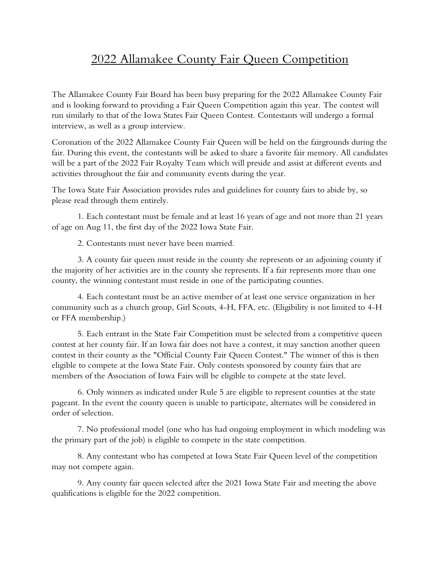## 2022 Allamakee County Fair Queen Competition

The Allamakee County Fair Board has been busy preparing for the 2022 Allamakee County Fair and is looking forward to providing a Fair Queen Competition again this year. The contest will run similarly to that of the Iowa States Fair Queen Contest. Contestants will undergo a formal interview, as well as a group interview.

Coronation of the 2022 Allamakee County Fair Queen will be held on the fairgrounds during the fair. During this event, the contestants will be asked to share a favorite fair memory. All candidates will be a part of the 2022 Fair Royalty Team which will preside and assist at different events and activities throughout the fair and community events during the year.

The Iowa State Fair Association provides rules and guidelines for county fairs to abide by, so please read through them entirely.

1. Each contestant must be female and at least 16 years of age and not more than 21 years of age on Aug 11, the first day of the 2022 Iowa State Fair.

2. Contestants must never have been married.

3. A county fair queen must reside in the county she represents or an adjoining county if the majority of her activities are in the county she represents. If a fair represents more than one county, the winning contestant must reside in one of the participating counties.

4. Each contestant must be an active member of at least one service organization in her community such as a church group, Girl Scouts, 4-H, FFA, etc. (Eligibility is not limited to 4-H or FFA membership.)

5. Each entrant in the State Fair Competition must be selected from a competitive queen contest at her county fair. If an Iowa fair does not have a contest, it may sanction another queen contest in their county as the "Official County Fair Queen Contest." The winner of this is then eligible to compete at the Iowa State Fair. Only contests sponsored by county fairs that are members of the Association of Iowa Fairs will be eligible to compete at the state level.

6. Only winners as indicated under Rule 5 are eligible to represent counties at the state pageant. In the event the county queen is unable to participate, alternates will be considered in order of selection.

7. No professional model (one who has had ongoing employment in which modeling was the primary part of the job) is eligible to compete in the state competition.

8. Any contestant who has competed at Iowa State Fair Queen level of the competition may not compete again.

9. Any county fair queen selected after the 2021 Iowa State Fair and meeting the above qualifications is eligible for the 2022 competition.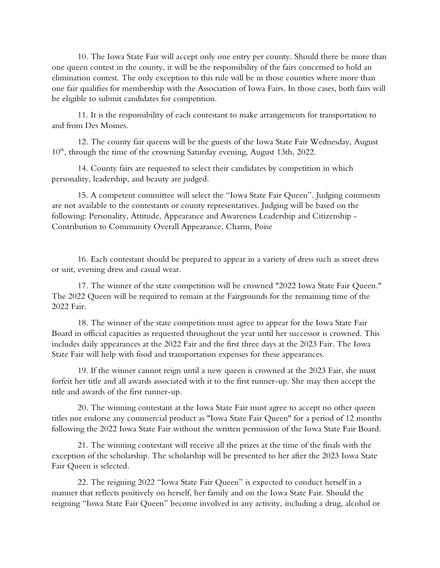10. The Iowa State Fair will accept only one entry per county. Should there be more than one queen contest in the county, it will be the responsibility of the fairs concerned to hold an elimination contest. The only exception to this rule will be in those counties where more than one fair qualifies for membership with the Association of Iowa Fairs. In those cases, both fairs will be eligible to submit candidates for competition.

11. It is the responsibility of each contestant to make arrangements for transportation to and from Des Moines.

12. The county fair queens will be the guests of the Iowa State Fair Wednesday, August  $10<sup>th</sup>$ , through the time of the crowning Saturday evening, August 13th, 2022.

14. County fairs are requested to select their candidates by competition in which personality, leadership, and beauty are judged.

15. A competent committee will select the "Iowa State Fair Queen". Judging comments are not available to the contestants or county representatives. Judging will be based on the following: Personality, Attitude, Appearance and Awareness Leadership and Citizenship - Contribution to Community Overall Appearance, Charm, Poise

16. Each contestant should be prepared to appear in a variety of dress such as street dress or suit, evening dress and casual wear.

17. The winner of the state competition will be crowned "2022 Iowa State Fair Queen." The 2022 Queen will be required to remain at the Fairgrounds for the remaining time of the 2022 Fair.

18. The winner of the state competition must agree to appear for the Iowa State Fair Board in official capacities as requested throughout the year until her successor is crowned. This includes daily appearances at the 2022 Fair and the first three days at the 2023 Fair. The Iowa State Fair will help with food and transportation expenses for these appearances.

19. If the winner cannot reign until a new queen is crowned at the 2023 Fair, she must forfeit her title and all awards associated with it to the first runner-up. She may then accept the title and awards of the first runner-up.

20. The winning contestant at the Iowa State Fair must agree to accept no other queen titles nor endorse any commercial product as "Iowa State Fair Queen" for a period of 12 months following the 2022 Iowa State Fair without the written permission of the Iowa State Fair Board.

21. The winning contestant will receive all the prizes at the time of the finals with the exception of the scholarship. The scholarship will be presented to her after the 2023 Iowa State Fair Queen is selected.

22. The reigning 2022 "Iowa State Fair Queen" is expected to conduct herself in a manner that reflects positively on herself, her family and on the Iowa State Fair. Should the reigning "Iowa State Fair Queen" become involved in any activity, including a drug, alcohol or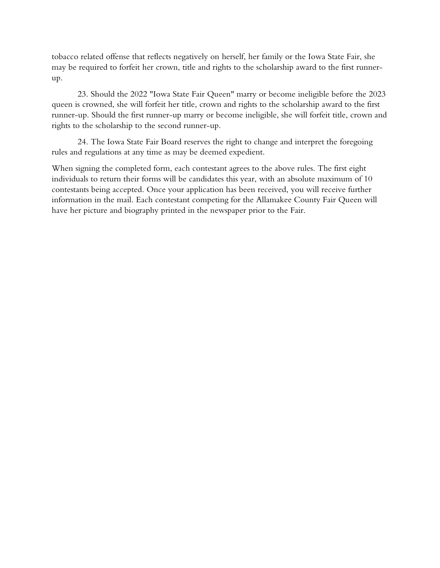tobacco related offense that reflects negatively on herself, her family or the Iowa State Fair, she may be required to forfeit her crown, title and rights to the scholarship award to the first runnerup.

23. Should the 2022 "Iowa State Fair Queen" marry or become ineligible before the 2023 queen is crowned, she will forfeit her title, crown and rights to the scholarship award to the first runner-up. Should the first runner-up marry or become ineligible, she will forfeit title, crown and rights to the scholarship to the second runner-up.

24. The Iowa State Fair Board reserves the right to change and interpret the foregoing rules and regulations at any time as may be deemed expedient.

When signing the completed form, each contestant agrees to the above rules. The first eight individuals to return their forms will be candidates this year, with an absolute maximum of 10 contestants being accepted. Once your application has been received, you will receive further information in the mail. Each contestant competing for the Allamakee County Fair Queen will have her picture and biography printed in the newspaper prior to the Fair.